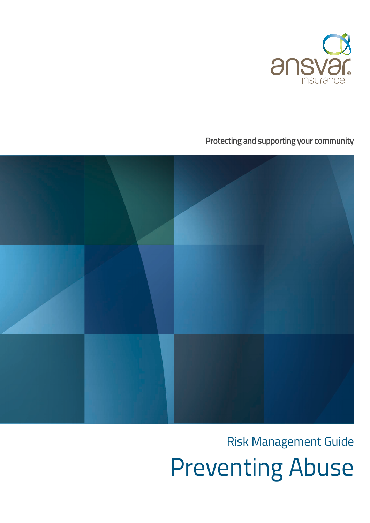

**Protecting and supporting your community**



# Risk Management Guide

Preventing Abuse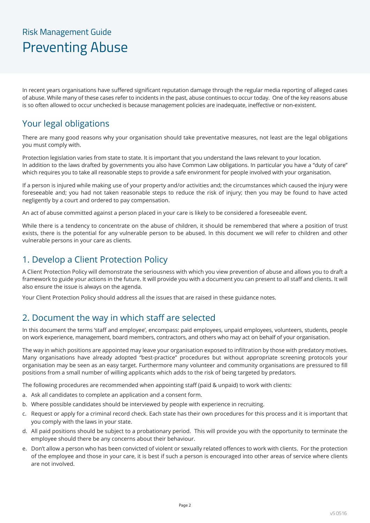## Risk Management Guide Preventing Abuse

In recent years organisations have suffered significant reputation damage through the regular media reporting of alleged cases of abuse. While many of these cases refer to incidents in the past, abuse continues to occur today. One of the key reasons abuse is so often allowed to occur unchecked is because management policies are inadequate, ineffective or non-existent.

#### Your legal obligations

There are many good reasons why your organisation should take preventative measures, not least are the legal obligations you must comply with.

Protection legislation varies from state to state. It is important that you understand the laws relevant to your location. In addition to the laws drafted by governments you also have Common Law obligations. In particular you have a "duty of care" which requires you to take all reasonable steps to provide a safe environment for people involved with your organisation.

If a person is injured while making use of your property and/or activities and; the circumstances which caused the injury were foreseeable and; you had not taken reasonable steps to reduce the risk of injury; then you may be found to have acted negligently by a court and ordered to pay compensation.

An act of abuse committed against a person placed in your care is likely to be considered a foreseeable event.

While there is a tendency to concentrate on the abuse of children, it should be remembered that where a position of trust exists, there is the potential for any vulnerable person to be abused. In this document we will refer to children and other vulnerable persons in your care as clients.

#### 1. Develop a Client Protection Policy

A Client Protection Policy will demonstrate the seriousness with which you view prevention of abuse and allows you to draft a framework to guide your actions in the future. It will provide you with a document you can present to all staff and clients. It will also ensure the issue is always on the agenda.

Your Client Protection Policy should address all the issues that are raised in these guidance notes.

#### 2. Document the way in which staff are selected

In this document the terms 'staff and employee', encompass: paid employees, unpaid employees, volunteers, students, people on work experience, management, board members, contractors, and others who may act on behalf of your organisation.

The way in which positions are appointed may leave your organisation exposed to infiltration by those with predatory motives. Many organisations have already adopted "best-practice" procedures but without appropriate screening protocols your organisation may be seen as an easy target. Furthermore many volunteer and community organisations are pressured to fill positions from a small number of willing applicants which adds to the risk of being targeted by predators.

The following procedures are recommended when appointing staff (paid & unpaid) to work with clients:

- a. Ask all candidates to complete an application and a consent form.
- b. Where possible candidates should be interviewed by people with experience in recruiting.
- c. Request or apply for a criminal record check. Each state has their own procedures for this process and it is important that you comply with the laws in your state.
- d. All paid positions should be subject to a probationary period. This will provide you with the opportunity to terminate the employee should there be any concerns about their behaviour.
- e. Don't allow a person who has been convicted of violent or sexually related offences to work with clients. For the protection of the employee and those in your care, it is best if such a person is encouraged into other areas of service where clients are not involved.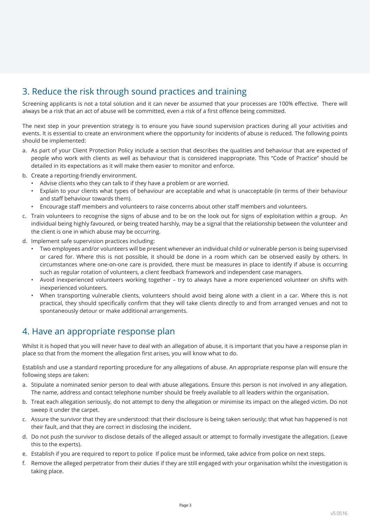#### 3. Reduce the risk through sound practices and training

Screening applicants is not a total solution and it can never be assumed that your processes are 100% effective. There will always be a risk that an act of abuse will be committed, even a risk of a first offence being committed.

The next step in your prevention strategy is to ensure you have sound supervision practices during all your activities and events. It is essential to create an environment where the opportunity for incidents of abuse is reduced. The following points should be implemented:

- a. As part of your Client Protection Policy include a section that describes the qualities and behaviour that are expected of people who work with clients as well as behaviour that is considered inappropriate. This "Code of Practice" should be detailed in its expectations as it will make them easier to monitor and enforce.
- b. Create a reporting-friendly environment.
	- Advise clients who they can talk to if they have a problem or are worried.
	- Explain to your clients what types of behaviour are acceptable and what is unacceptable (in terms of their behaviour and staff behaviour towards them).
	- Encourage staff members and volunteers to raise concerns about other staff members and volunteers.
- c. Train volunteers to recognise the signs of abuse and to be on the look out for signs of exploitation within a group. An individual being highly favoured, or being treated harshly, may be a signal that the relationship between the volunteer and the client is one in which abuse may be occurring.
- d. Implement safe supervision practices including:
	- Two employees and/or volunteers will be present whenever an individual child or vulnerable person is being supervised or cared for. Where this is not possible, it should be done in a room which can be observed easily by others. In circumstances where one-on-one care is provided, there must be measures in place to identify if abuse is occurring such as regular rotation of volunteers, a client feedback framework and independent case managers.
	- Avoid inexperienced volunteers working together try to always have a more experienced volunteer on shifts with inexperienced volunteers.
	- When transporting vulnerable clients, volunteers should avoid being alone with a client in a car. Where this is not practical, they should specifically confirm that they will take clients directly to and from arranged venues and not to spontaneously detour or make additional arrangements.

#### 4. Have an appropriate response plan

Whilst it is hoped that you will never have to deal with an allegation of abuse, it is important that you have a response plan in place so that from the moment the allegation first arises, you will know what to do.

Establish and use a standard reporting procedure for any allegations of abuse. An appropriate response plan will ensure the following steps are taken:

- a. Stipulate a nominated senior person to deal with abuse allegations. Ensure this person is not involved in any allegation. The name, address and contact telephone number should be freely available to all leaders within the organisation.
- b. Treat each allegation seriously, do not attempt to deny the allegation or minimise its impact on the alleged victim. Do not sweep it under the carpet.
- c. Assure the survivor that they are understood: that their disclosure is being taken seriously; that what has happened is not their fault, and that they are correct in disclosing the incident.
- d. Do not push the survivor to disclose details of the alleged assault or attempt to formally investigate the allegation. (Leave this to the experts).
- e. Establish if you are required to report to police If police must be informed, take advice from police on next steps.
- f. Remove the alleged perpetrator from their duties if they are still engaged with your organisation whilst the investigation is taking place.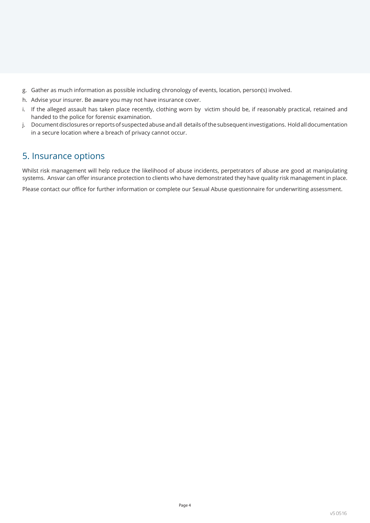- g. Gather as much information as possible including chronology of events, location, person(s) involved.
- h. Advise your insurer. Be aware you may not have insurance cover.
- i. If the alleged assault has taken place recently, clothing worn by victim should be, if reasonably practical, retained and handed to the police for forensic examination.
- j. Document disclosures or reports of suspected abuse and all details of the subsequent investigations. Hold all documentation in a secure location where a breach of privacy cannot occur.

#### 5. Insurance options

Whilst risk management will help reduce the likelihood of abuse incidents, perpetrators of abuse are good at manipulating systems. Ansvar can offer insurance protection to clients who have demonstrated they have quality risk management in place.

Please contact our office for further information or complete our Sexual Abuse questionnaire for underwriting assessment.